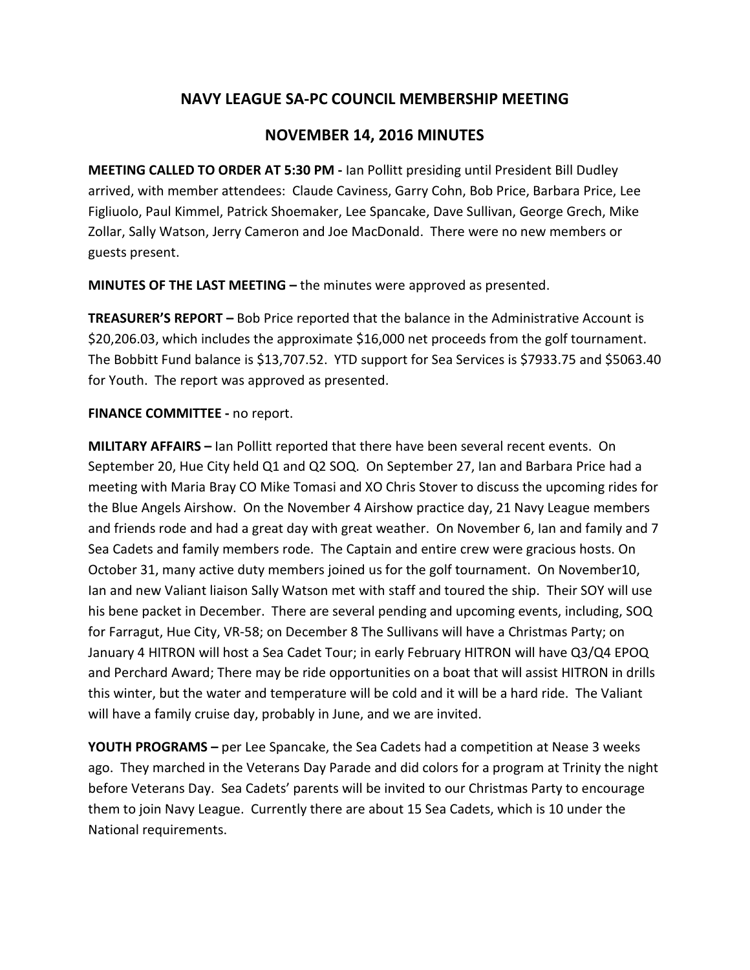# **NAVY LEAGUE SA-PC COUNCIL MEMBERSHIP MEETING**

# **NOVEMBER 14, 2016 MINUTES**

**MEETING CALLED TO ORDER AT 5:30 PM -** Ian Pollitt presiding until President Bill Dudley arrived, with member attendees: Claude Caviness, Garry Cohn, Bob Price, Barbara Price, Lee Figliuolo, Paul Kimmel, Patrick Shoemaker, Lee Spancake, Dave Sullivan, George Grech, Mike Zollar, Sally Watson, Jerry Cameron and Joe MacDonald. There were no new members or guests present.

**MINUTES OF THE LAST MEETING –** the minutes were approved as presented.

**TREASURER'S REPORT –** Bob Price reported that the balance in the Administrative Account is \$20,206.03, which includes the approximate \$16,000 net proceeds from the golf tournament. The Bobbitt Fund balance is \$13,707.52. YTD support for Sea Services is \$7933.75 and \$5063.40 for Youth. The report was approved as presented.

## **FINANCE COMMITTEE -** no report.

**MILITARY AFFAIRS –** Ian Pollitt reported that there have been several recent events. On September 20, Hue City held Q1 and Q2 SOQ. On September 27, Ian and Barbara Price had a meeting with Maria Bray CO Mike Tomasi and XO Chris Stover to discuss the upcoming rides for the Blue Angels Airshow. On the November 4 Airshow practice day, 21 Navy League members and friends rode and had a great day with great weather. On November 6, Ian and family and 7 Sea Cadets and family members rode. The Captain and entire crew were gracious hosts. On October 31, many active duty members joined us for the golf tournament. On November10, Ian and new Valiant liaison Sally Watson met with staff and toured the ship. Their SOY will use his bene packet in December. There are several pending and upcoming events, including, SOQ for Farragut, Hue City, VR-58; on December 8 The Sullivans will have a Christmas Party; on January 4 HITRON will host a Sea Cadet Tour; in early February HITRON will have Q3/Q4 EPOQ and Perchard Award; There may be ride opportunities on a boat that will assist HITRON in drills this winter, but the water and temperature will be cold and it will be a hard ride. The Valiant will have a family cruise day, probably in June, and we are invited.

**YOUTH PROGRAMS –** per Lee Spancake, the Sea Cadets had a competition at Nease 3 weeks ago. They marched in the Veterans Day Parade and did colors for a program at Trinity the night before Veterans Day. Sea Cadets' parents will be invited to our Christmas Party to encourage them to join Navy League. Currently there are about 15 Sea Cadets, which is 10 under the National requirements.